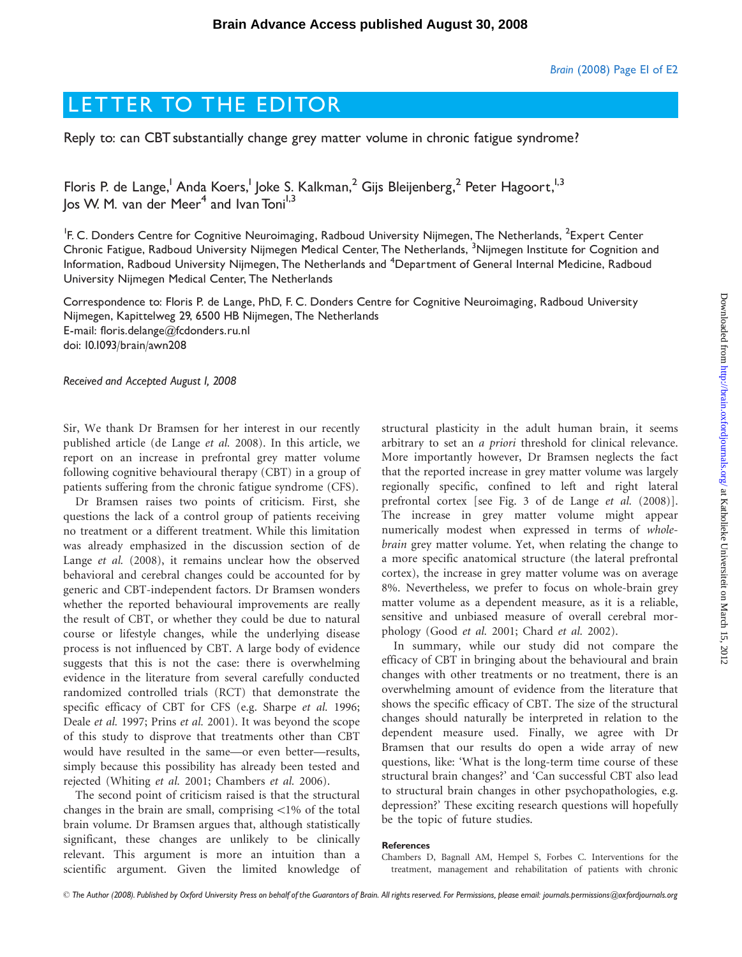## LETTER TO THE EDITOR

Reply to: can CBT substantially change grey matter volume in chronic fatigue syndrome?

Floris P. de Lange,<sup>1</sup> Anda Koers,<sup>1</sup> Joke S. Kalkman,<sup>2</sup> Gijs Bleijenberg,<sup>2</sup> Peter Hagoort,<sup>1,3</sup> los W. M. van der Meer<sup>4</sup> and Ivan Toni<sup>1,3</sup>

<sup>1</sup>F. C. Donders Centre for Cognitive Neuroimaging, Radboud University Nijmegen, The Netherlands, <sup>2</sup>Expert Center Chronic Fatigue, Radboud University Nijmegen Medical Center, The Netherlands, <sup>3</sup>Nijmegen Institute for Cognition and Information, Radboud University Nijmegen, The Netherlands and <sup>4</sup>Department of General Internal Medicine, Radboud University Nijmegen Medical Center, The Netherlands

Correspondence to: Floris P. de Lange, PhD, F. C. Donders Centre for Cognitive Neuroimaging, Radboud University Nijmegen, Kapittelweg 29, 6500 HB Nijmegen, The Netherlands E-mail: floris.delange@fcdonders.ru.nl doi: 10.1093/brain/awn208

Received and Accepted August 1, 2008

Sir, We thank Dr Bramsen for her interest in our recently published article (de Lange et al. 2008). In this article, we report on an increase in prefrontal grey matter volume following cognitive behavioural therapy (CBT) in a group of patients suffering from the chronic fatigue syndrome (CFS).

Dr Bramsen raises two points of criticism. First, she questions the lack of a control group of patients receiving no treatment or a different treatment. While this limitation was already emphasized in the discussion section of de Lange et al. (2008), it remains unclear how the observed behavioral and cerebral changes could be accounted for by generic and CBT-independent factors. Dr Bramsen wonders whether the reported behavioural improvements are really the result of CBT, or whether they could be due to natural course or lifestyle changes, while the underlying disease process is not influenced by CBT. A large body of evidence suggests that this is not the case: there is overwhelming evidence in the literature from several carefully conducted randomized controlled trials (RCT) that demonstrate the specific efficacy of CBT for CFS (e.g. Sharpe et al. 1996; Deale et al. 1997; Prins et al. 2001). It was beyond the scope of this study to disprove that treatments other than CBT would have resulted in the same—or even better—results, simply because this possibility has already been tested and rejected (Whiting et al. 2001; Chambers et al. 2006).

The second point of criticism raised is that the structural changes in the brain are small, comprising  $\langle 1\%$  of the total brain volume. Dr Bramsen argues that, although statistically significant, these changes are unlikely to be clinically relevant. This argument is more an intuition than a scientific argument. Given the limited knowledge of structural plasticity in the adult human brain, it seems arbitrary to set an a priori threshold for clinical relevance. More importantly however, Dr Bramsen neglects the fact that the reported increase in grey matter volume was largely regionally specific, confined to left and right lateral prefrontal cortex [see Fig. 3 of de Lange et al. (2008)]. The increase in grey matter volume might appear numerically modest when expressed in terms of wholebrain grey matter volume. Yet, when relating the change to a more specific anatomical structure (the lateral prefrontal cortex), the increase in grey matter volume was on average 8%. Nevertheless, we prefer to focus on whole-brain grey matter volume as a dependent measure, as it is a reliable, sensitive and unbiased measure of overall cerebral morphology (Good et al. 2001; Chard et al. 2002).

In summary, while our study did not compare the efficacy of CBT in bringing about the behavioural and brain changes with other treatments or no treatment, there is an overwhelming amount of evidence from the literature that shows the specific efficacy of CBT. The size of the structural changes should naturally be interpreted in relation to the dependent measure used. Finally, we agree with Dr Bramsen that our results do open a wide array of new questions, like: 'What is the long-term time course of these structural brain changes?' and 'Can successful CBT also lead to structural brain changes in other psychopathologies, e.g. depression?' These exciting research questions will hopefully be the topic of future studies.

## References

Chambers D, Bagnall AM, Hempel S, Forbes C. Interventions for the treatment, management and rehabilitation of patients with chronic